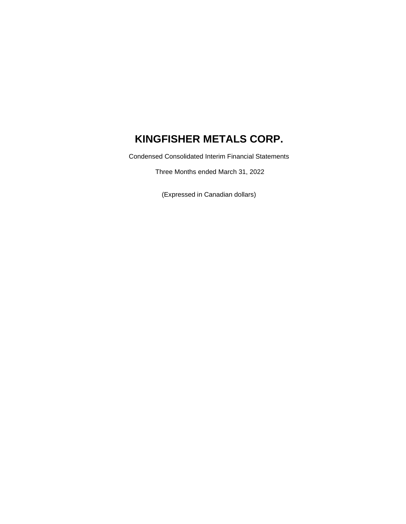Condensed Consolidated Interim Financial Statements

Three Months ended March 31, 2022

(Expressed in Canadian dollars)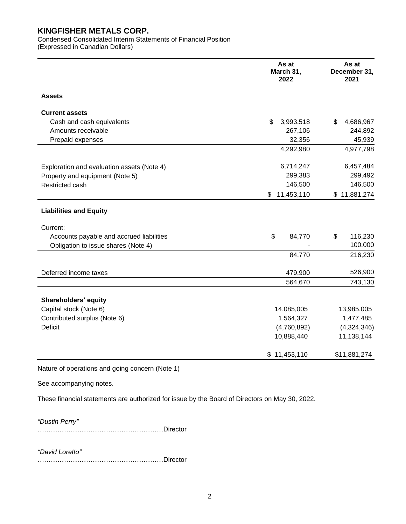Condensed Consolidated Interim Statements of Financial Position (Expressed in Canadian Dollars)

|                                                 | As at<br>March 31,<br>2022 | As at<br>December 31,<br>2021 |
|-------------------------------------------------|----------------------------|-------------------------------|
| <b>Assets</b>                                   |                            |                               |
| <b>Current assets</b>                           |                            |                               |
| Cash and cash equivalents                       | \$<br>3,993,518            | 4,686,967<br>\$               |
| Amounts receivable                              | 267,106                    | 244,892                       |
| Prepaid expenses                                | 32,356                     | 45,939                        |
|                                                 | 4,292,980                  | 4,977,798                     |
| Exploration and evaluation assets (Note 4)      | 6,714,247                  | 6,457,484                     |
| Property and equipment (Note 5)                 | 299,383                    | 299,492                       |
| Restricted cash                                 | 146,500                    | 146,500                       |
|                                                 | \$<br>11,453,110           | \$11,881,274                  |
| <b>Liabilities and Equity</b>                   |                            |                               |
| Current:                                        |                            |                               |
| Accounts payable and accrued liabilities        | \$<br>84,770               | \$<br>116,230                 |
| Obligation to issue shares (Note 4)             |                            | 100,000                       |
|                                                 | 84,770                     | 216,230                       |
| Deferred income taxes                           | 479,900                    | 526,900                       |
|                                                 | 564,670                    | 743,130                       |
| Shareholders' equity                            |                            |                               |
| Capital stock (Note 6)                          | 14,085,005                 | 13,985,005                    |
| Contributed surplus (Note 6)                    | 1,564,327                  | 1,477,485                     |
| <b>Deficit</b>                                  | (4,760,892)                | (4,324,346)                   |
|                                                 | 10,888,440                 | 11,138,144                    |
|                                                 | \$11,453,110               | \$11,881,274                  |
| Nature of operations and going concern (Note 1) |                            |                               |

See accompanying notes.

These financial statements are authorized for issue by the Board of Directors on May 30, 2022.

*"Dustin Perry"*

…………………………………………………Director

*"David Loretto"* …………………………………………………Director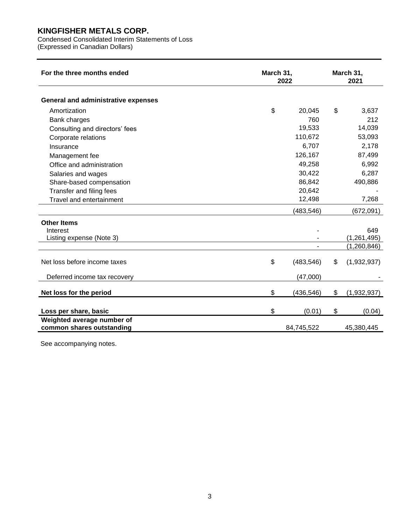Condensed Consolidated Interim Statements of Loss

(Expressed in Canadian Dollars)

| For the three months ended                              | March 31, | 2022                     | March 31,<br>2021 |
|---------------------------------------------------------|-----------|--------------------------|-------------------|
| <b>General and administrative expenses</b>              |           |                          |                   |
| Amortization                                            | \$        | 20,045                   | \$<br>3,637       |
| Bank charges                                            |           | 760                      | 212               |
| Consulting and directors' fees                          |           | 19,533                   | 14,039            |
| Corporate relations                                     |           | 110,672                  | 53,093            |
| Insurance                                               |           | 6,707                    | 2,178             |
| Management fee                                          |           | 126,167                  | 87,499            |
| Office and administration                               |           | 49,258                   | 6,992             |
| Salaries and wages                                      |           | 30,422                   | 6,287             |
| Share-based compensation                                |           | 86,842                   | 490,886           |
| Transfer and filing fees                                |           | 20,642                   |                   |
| Travel and entertainment                                |           | 12,498                   | 7,268             |
|                                                         |           | (483, 546)               | (672,091)         |
| <b>Other Items</b><br>Interest                          |           |                          | 649               |
| Listing expense (Note 3)                                |           |                          | (1, 261, 495)     |
|                                                         |           | $\overline{\phantom{a}}$ | (1,260,846)       |
| Net loss before income taxes                            | \$        | (483, 546)               | \$<br>(1,932,937) |
| Deferred income tax recovery                            |           | (47,000)                 |                   |
| Net loss for the period                                 | \$        | (436, 546)               | \$<br>(1,932,937) |
| Loss per share, basic                                   | \$        | (0.01)                   | \$<br>(0.04)      |
| Weighted average number of<br>common shares outstanding |           | 84,745,522               | 45,380,445        |

See accompanying notes.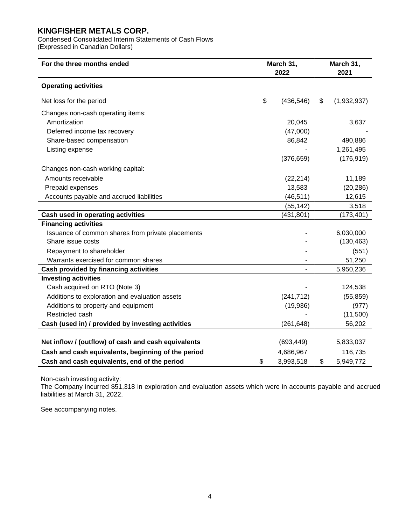Condensed Consolidated Interim Statements of Cash Flows (Expressed in Canadian Dollars)

| For the three months ended                          | March 31,<br>2022 |            | March 31,<br>2021 |             |
|-----------------------------------------------------|-------------------|------------|-------------------|-------------|
| <b>Operating activities</b>                         |                   |            |                   |             |
| Net loss for the period                             | \$                | (436, 546) | \$                | (1,932,937) |
| Changes non-cash operating items:                   |                   |            |                   |             |
| Amortization                                        |                   | 20,045     |                   | 3,637       |
| Deferred income tax recovery                        |                   | (47,000)   |                   |             |
| Share-based compensation                            |                   | 86,842     |                   | 490,886     |
| Listing expense                                     |                   |            |                   | 1,261,495   |
|                                                     |                   | (376, 659) |                   | (176, 919)  |
| Changes non-cash working capital:                   |                   |            |                   |             |
| Amounts receivable                                  |                   | (22, 214)  |                   | 11,189      |
| Prepaid expenses                                    |                   | 13,583     |                   | (20, 286)   |
| Accounts payable and accrued liabilities            |                   | (46, 511)  |                   | 12,615      |
|                                                     |                   | (55, 142)  |                   | 3,518       |
| Cash used in operating activities                   |                   | (431, 801) |                   | (173, 401)  |
| <b>Financing activities</b>                         |                   |            |                   |             |
| Issuance of common shares from private placements   |                   |            |                   | 6,030,000   |
| Share issue costs                                   |                   |            |                   | (130, 463)  |
| Repayment to shareholder                            |                   |            |                   | (551)       |
| Warrants exercised for common shares                |                   |            |                   | 51,250      |
| <b>Cash provided by financing activities</b>        |                   |            |                   | 5,950,236   |
| <b>Investing activities</b>                         |                   |            |                   |             |
| Cash acquired on RTO (Note 3)                       |                   |            |                   | 124,538     |
| Additions to exploration and evaluation assets      |                   | (241, 712) |                   | (55, 859)   |
| Additions to property and equipment                 |                   | (19,936)   |                   | (977)       |
| Restricted cash                                     |                   |            |                   | (11,500)    |
| Cash (used in) / provided by investing activities   |                   | (261, 648) |                   | 56,202      |
|                                                     |                   |            |                   |             |
| Net inflow / (outflow) of cash and cash equivalents |                   | (693, 449) |                   | 5,833,037   |
| Cash and cash equivalents, beginning of the period  |                   | 4,686,967  |                   | 116,735     |
| Cash and cash equivalents, end of the period        |                   | 3,993,518  | \$                | 5,949,772   |

Non-cash investing activity:

The Company incurred \$51,318 in exploration and evaluation assets which were in accounts payable and accrued liabilities at March 31, 2022.

See accompanying notes.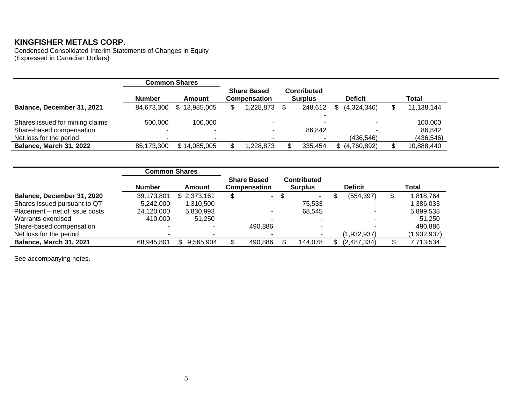Condensed Consolidated Interim Statements of Changes in Equity (Expressed in Canadian Dollars)

|                                 | <b>Common Shares</b> |              |                                    |                               |                |            |
|---------------------------------|----------------------|--------------|------------------------------------|-------------------------------|----------------|------------|
|                                 | <b>Number</b>        | Amount       | <b>Share Based</b><br>Compensation | Contributed<br><b>Surplus</b> | <b>Deficit</b> | Total      |
| Balance, December 31, 2021      | 84,673,300           | \$13,985,005 | 1,228,873                          | 248.612                       | (4,324,346)    | 11,138,144 |
| Shares issued for mining claims | 500,000              | 100.000      | $\overline{\phantom{a}}$           |                               |                | 100,000    |
| Share-based compensation        |                      |              |                                    | 86.842                        |                | 86,842     |
| Net loss for the period         |                      |              |                                    |                               | (436, 546)     | (436, 546) |
| <b>Balance, March 31, 2022</b>  | 85.173.300           | \$14,085,005 | 228,873,                           | 335,454                       | (4,760,892)    | 10,888,440 |

|                                | <b>Common Shares</b> |             |                                    |                                      |                |             |
|--------------------------------|----------------------|-------------|------------------------------------|--------------------------------------|----------------|-------------|
|                                | <b>Number</b>        | Amount      | <b>Share Based</b><br>Compensation | <b>Contributed</b><br><b>Surplus</b> | <b>Deficit</b> | Total       |
| Balance, December 31, 2020     | 39,173,801           | \$2,373,161 | \$<br>٠.                           | -\$<br>$\sim$                        | (554, 397)     | 818,764     |
| Shares issued pursuant to QT   | 5.242.000            | 1,310,500   | -                                  | 75.533                               |                | 386,033,ا   |
| Placement – net of issue costs | 24,120,000           | 5,830,993   | ٠                                  | 68.545                               |                | 5,899,538   |
| Warrants exercised             | 410.000              | 51.250      |                                    |                                      |                | 51.250      |
| Share-based compensation       |                      |             | 490,886                            |                                      |                | 490,886     |
| Net loss for the period        |                      |             |                                    |                                      | (1,932,937)    | (1,932,937) |
| Balance, March 31, 2021        | 68,945,801           | 9,565,904   | 490,886                            | 144,078                              | (2,487,334)    | 7,713,534   |

See accompanying notes.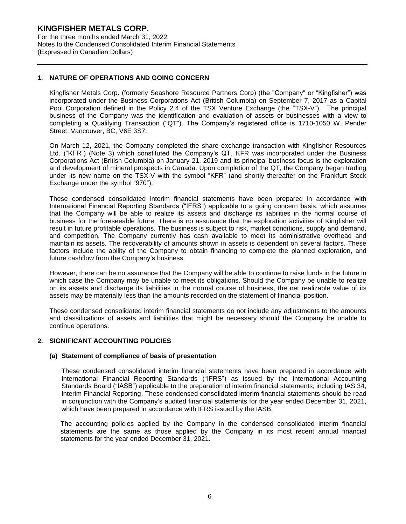For the three months ended March 31, 2022 Notes to the Condensed Consolidated Interim Financial Statements (Expressed in Canadian Dollars)

#### **1. NATURE OF OPERATIONS AND GOING CONCERN**

Kingfisher Metals Corp. (formerly Seashore Resource Partners Corp) (the "Company" or "Kingfisher") was incorporated under the Business Corporations Act (British Columbia) on September 7, 2017 as a Capital Pool Corporation defined in the Policy 2.4 of the TSX Venture Exchange (the "TSX-V"). The principal business of the Company was the identification and evaluation of assets or businesses with a view to completing a Qualifying Transaction ("QT"). The Company's registered office is 1710-1050 W. Pender Street, Vancouver, BC, V6E 3S7.

On March 12, 2021, the Company completed the share exchange transaction with Kingfisher Resources Ltd. ("KFR") (Note 3) which constituted the Company's QT. KFR was incorporated under the Business Corporations Act (British Columbia) on January 21, 2019 and its principal business focus is the exploration and development of mineral prospects in Canada. Upon completion of the QT, the Company began trading under its new name on the TSX-V with the symbol "KFR" (and shortly thereafter on the Frankfurt Stock Exchange under the symbol "970").

These condensed consolidated interim financial statements have been prepared in accordance with International Financial Reporting Standards ("IFRS") applicable to a going concern basis, which assumes that the Company will be able to realize its assets and discharge its liabilities in the normal course of business for the foreseeable future. There is no assurance that the exploration activities of Kingfisher will result in future profitable operations. The business is subject to risk, market conditions, supply and demand, and competition. The Company currently has cash available to meet its administrative overhead and maintain its assets. The recoverability of amounts shown in assets is dependent on several factors. These factors include the ability of the Company to obtain financing to complete the planned exploration, and future cashflow from the Company's business.

However, there can be no assurance that the Company will be able to continue to raise funds in the future in which case the Company may be unable to meet its obligations. Should the Company be unable to realize on its assets and discharge its liabilities in the normal course of business, the net realizable value of its assets may be materially less than the amounts recorded on the statement of financial position.

These condensed consolidated interim financial statements do not include any adjustments to the amounts and classifications of assets and liabilities that might be necessary should the Company be unable to continue operations.

#### **2. SIGNIFICANT ACCOUNTING POLICIES**

#### **(a) Statement of compliance of basis of presentation**

These condensed consolidated interim financial statements have been prepared in accordance with International Financial Reporting Standards ("IFRS") as issued by the International Accounting Standards Board ("IASB") applicable to the preparation of interim financial statements, including IAS 34, Interim Financial Reporting. These condensed consolidated interim financial statements should be read in conjunction with the Company's audited financial statements for the year ended December 31, 2021, which have been prepared in accordance with IFRS issued by the IASB.

The accounting policies applied by the Company in the condensed consolidated interim financial statements are the same as those applied by the Company in its most recent annual financial statements for the year ended December 31, 2021.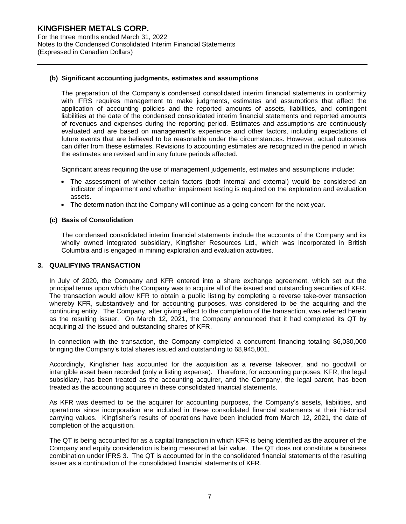For the three months ended March 31, 2022 Notes to the Condensed Consolidated Interim Financial Statements (Expressed in Canadian Dollars)

#### **(b) Significant accounting judgments, estimates and assumptions**

The preparation of the Company's condensed consolidated interim financial statements in conformity with IFRS requires management to make judgments, estimates and assumptions that affect the application of accounting policies and the reported amounts of assets, liabilities, and contingent liabilities at the date of the condensed consolidated interim financial statements and reported amounts of revenues and expenses during the reporting period. Estimates and assumptions are continuously evaluated and are based on management's experience and other factors, including expectations of future events that are believed to be reasonable under the circumstances. However, actual outcomes can differ from these estimates. Revisions to accounting estimates are recognized in the period in which the estimates are revised and in any future periods affected.

Significant areas requiring the use of management judgements, estimates and assumptions include:

- The assessment of whether certain factors (both internal and external) would be considered an indicator of impairment and whether impairment testing is required on the exploration and evaluation assets.
- The determination that the Company will continue as a going concern for the next year.

#### **(c) Basis of Consolidation**

The condensed consolidated interim financial statements include the accounts of the Company and its wholly owned integrated subsidiary, Kingfisher Resources Ltd., which was incorporated in British Columbia and is engaged in mining exploration and evaluation activities.

#### **3. QUALIFYING TRANSACTION**

In July of 2020, the Company and KFR entered into a share exchange agreement, which set out the principal terms upon which the Company was to acquire all of the issued and outstanding securities of KFR. The transaction would allow KFR to obtain a public listing by completing a reverse take-over transaction whereby KFR, substantively and for accounting purposes, was considered to be the acquiring and the continuing entity. The Company, after giving effect to the completion of the transaction, was referred herein as the resulting issuer. On March 12, 2021, the Company announced that it had completed its QT by acquiring all the issued and outstanding shares of KFR.

In connection with the transaction, the Company completed a concurrent financing totaling \$6,030,000 bringing the Company's total shares issued and outstanding to 68,945,801.

Accordingly, Kingfisher has accounted for the acquisition as a reverse takeover, and no goodwill or intangible asset been recorded (only a listing expense). Therefore, for accounting purposes, KFR, the legal subsidiary, has been treated as the accounting acquirer, and the Company, the legal parent, has been treated as the accounting acquiree in these consolidated financial statements.

As KFR was deemed to be the acquirer for accounting purposes, the Company's assets, liabilities, and operations since incorporation are included in these consolidated financial statements at their historical carrying values. Kingfisher's results of operations have been included from March 12, 2021, the date of completion of the acquisition.

The QT is being accounted for as a capital transaction in which KFR is being identified as the acquirer of the Company and equity consideration is being measured at fair value. The QT does not constitute a business combination under IFRS 3. The QT is accounted for in the consolidated financial statements of the resulting issuer as a continuation of the consolidated financial statements of KFR.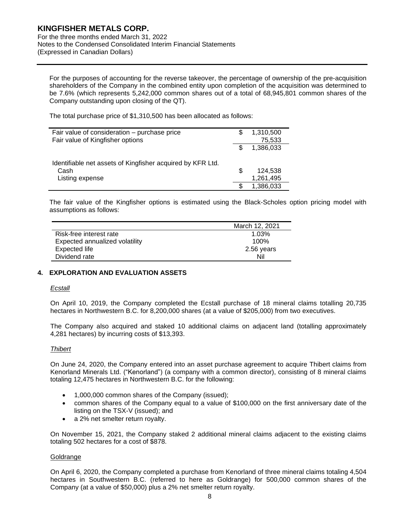For the three months ended March 31, 2022 Notes to the Condensed Consolidated Interim Financial Statements (Expressed in Canadian Dollars)

For the purposes of accounting for the reverse takeover, the percentage of ownership of the pre-acquisition shareholders of the Company in the combined entity upon completion of the acquisition was determined to be 7.6% (which represents 5,242,000 common shares out of a total of 68,945,801 common shares of the Company outstanding upon closing of the QT).

The total purchase price of \$1,310,500 has been allocated as follows:

| Fair value of consideration – purchase price               | S | 1,310,500 |
|------------------------------------------------------------|---|-----------|
| Fair value of Kingfisher options                           |   | 75,533    |
|                                                            |   | 1,386,033 |
| Identifiable net assets of Kingfisher acquired by KFR Ltd. |   |           |
| Cash                                                       | S | 124.538   |
| Listing expense                                            |   | 1,261,495 |
|                                                            |   | 1,386,033 |

The fair value of the Kingfisher options is estimated using the Black-Scholes option pricing model with assumptions as follows:

|                                | March 12, 2021 |
|--------------------------------|----------------|
| Risk-free interest rate        | 1.03%          |
| Expected annualized volatility | 100%           |
| Expected life                  | 2.56 years     |
| Dividend rate                  | Nil            |

#### **4. EXPLORATION AND EVALUATION ASSETS**

#### *Ecstall*

On April 10, 2019, the Company completed the Ecstall purchase of 18 mineral claims totalling 20,735 hectares in Northwestern B.C. for 8,200,000 shares (at a value of \$205,000) from two executives.

The Company also acquired and staked 10 additional claims on adjacent land (totalling approximately 4,281 hectares) by incurring costs of \$13,393.

#### *Thibert*

On June 24, 2020, the Company entered into an asset purchase agreement to acquire Thibert claims from Kenorland Minerals Ltd. ("Kenorland") (a company with a common director), consisting of 8 mineral claims totaling 12,475 hectares in Northwestern B.C. for the following:

- 1,000,000 common shares of the Company (issued);
- common shares of the Company equal to a value of \$100,000 on the first anniversary date of the listing on the TSX-V (issued); and
- a 2% net smelter return royalty.

On November 15, 2021, the Company staked 2 additional mineral claims adjacent to the existing claims totaling 502 hectares for a cost of \$878.

#### Goldrange

On April 6, 2020, the Company completed a purchase from Kenorland of three mineral claims totaling 4,504 hectares in Southwestern B.C. (referred to here as Goldrange) for 500,000 common shares of the Company (at a value of \$50,000) plus a 2% net smelter return royalty.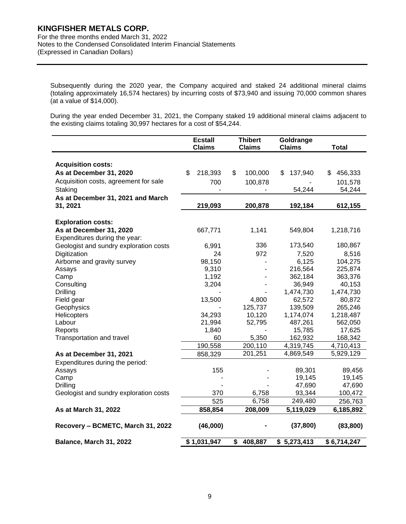For the three months ended March 31, 2022 Notes to the Condensed Consolidated Interim Financial Statements (Expressed in Canadian Dollars)

Subsequently during the 2020 year, the Company acquired and staked 24 additional mineral claims (totaling approximately 16,574 hectares) by incurring costs of \$73,940 and issuing 70,000 common shares (at a value of \$14,000).

During the year ended December 31, 2021, the Company staked 19 additional mineral claims adjacent to the existing claims totaling 30,997 hectares for a cost of \$54,244.

|                                        | <b>Ecstall</b><br><b>Claims</b> | <b>Thibert</b><br><b>Claims</b> | Goldrange<br><b>Claims</b> | <b>Total</b>  |
|----------------------------------------|---------------------------------|---------------------------------|----------------------------|---------------|
|                                        |                                 |                                 |                            |               |
| <b>Acquisition costs:</b>              |                                 |                                 |                            |               |
| As at December 31, 2020                | \$<br>218,393                   | \$<br>100,000                   | 137,940<br>\$              | 456,333<br>\$ |
| Acquisition costs, agreement for sale  | 700                             | 100,878                         |                            | 101,578       |
| Staking                                |                                 |                                 | 54,244                     | 54,244        |
| As at December 31, 2021 and March      |                                 |                                 |                            |               |
| 31, 2021                               | 219,093                         | 200,878                         | 192,184                    | 612,155       |
| <b>Exploration costs:</b>              |                                 |                                 |                            |               |
| As at December 31, 2020                | 667,771                         | 1,141                           | 549,804                    | 1,218,716     |
| Expenditures during the year:          |                                 |                                 |                            |               |
| Geologist and sundry exploration costs | 6,991                           | 336                             | 173,540                    | 180,867       |
| Digitization                           | 24                              | 972                             | 7,520                      | 8,516         |
| Airborne and gravity survey            | 98,150                          |                                 | 6,125                      | 104,275       |
| Assays                                 | 9,310                           |                                 | 216,564                    | 225,874       |
| Camp                                   | 1,192                           |                                 | 362,184                    | 363,376       |
| Consulting                             | 3,204                           |                                 | 36,949                     | 40,153        |
| <b>Drilling</b>                        |                                 |                                 | 1,474,730                  | 1,474,730     |
| Field gear                             | 13,500                          | 4,800                           | 62,572                     | 80,872        |
| Geophysics                             |                                 | 125,737                         | 139,509                    | 265,246       |
| Helicopters                            | 34,293                          | 10,120                          | 1,174,074                  | 1,218,487     |
| Labour                                 | 21,994                          | 52,795                          | 487,261                    | 562,050       |
| Reports                                | 1,840                           |                                 | 15,785                     | 17,625        |
| Transportation and travel              | 60                              | 5,350                           | 162,932                    | 168,342       |
|                                        | 190,558                         | 200,110                         | 4,319,745                  | 4,710,413     |
| As at December 31, 2021                | 858,329                         | 201,251                         | 4,869,549                  | 5,929,129     |
| Expenditures during the period:        |                                 |                                 |                            |               |
| Assays                                 | 155                             |                                 | 89,301                     | 89,456        |
| Camp                                   |                                 |                                 | 19,145                     | 19,145        |
| Drilling                               |                                 |                                 | 47,690                     | 47,690        |
| Geologist and sundry exploration costs | 370                             | 6,758                           | 93,344                     | 100,472       |
|                                        | 525                             | 6,758                           | 249,480                    | 256,763       |
| As at March 31, 2022                   | 858,854                         | 208,009                         | 5,119,029                  | 6,185,892     |
| Recovery - BCMETC, March 31, 2022      | (46,000)                        |                                 | (37, 800)                  | (83, 800)     |
| Balance, March 31, 2022                | \$1,031,947                     | \$<br>408,887                   | \$5,273,413                | \$6,714,247   |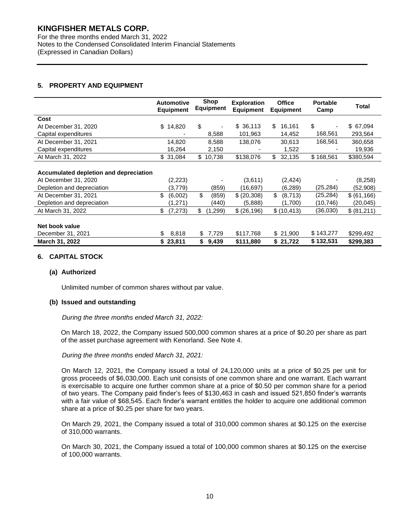For the three months ended March 31, 2022 Notes to the Condensed Consolidated Interim Financial Statements (Expressed in Canadian Dollars)

#### **5. PROPERTY AND EQUIPMENT**

|                                        | <b>Automotive</b><br><b>Equipment</b> | Shop<br><b>Equipment</b> | <b>Exploration</b><br><b>Equipment</b> | <b>Office</b><br><b>Equipment</b> | <b>Portable</b><br>Camp | <b>Total</b> |
|----------------------------------------|---------------------------------------|--------------------------|----------------------------------------|-----------------------------------|-------------------------|--------------|
| Cost                                   |                                       |                          |                                        |                                   |                         |              |
| At December 31, 2020                   | \$<br>14,820                          | \$                       | \$36,113                               | \$<br>16,161                      | \$                      | \$67,094     |
| Capital expenditures                   |                                       | 8,588                    | 101,963                                | 14,452                            | 168,561                 | 293,564      |
| At December 31, 2021                   | 14,820                                | 8,588                    | 138,076                                | 30,613                            | 168,561                 | 360,658      |
| Capital expenditures                   | 16,264                                | 2,150                    | -                                      | 1,522                             |                         | 19,936       |
| At March 31, 2022                      | \$31,084                              | \$<br>10,738             | \$138,076                              | \$<br>32,135                      | \$168,561               | \$380,594    |
| Accumulated depletion and depreciation |                                       |                          |                                        |                                   |                         |              |
| At December 31, 2020                   | (2,223)                               | ٠                        | (3,611)                                | (2, 424)                          |                         | (8,258)      |
| Depletion and depreciation             | (3,779)                               | (859)                    | (16, 697)                              | (6, 289)                          | (25, 284)               | (52,908)     |
| At December 31, 2021                   | \$<br>(6,002)                         | \$<br>(859)              | \$(20,308)                             | \$<br>(8,713)                     | (25, 284)               | \$ (61, 166) |
| Depletion and depreciation             | (1,271)                               | (440)                    | (5,888)                                | (1,700)                           | (10, 746)               | (20,045)     |
| At March 31, 2022                      | \$<br>(7, 273)                        | \$<br>(1,299)            | \$ (26, 196)                           | \$(10, 413)                       | (36,030)                | \$ (81,211)  |
| Net book value                         |                                       |                          |                                        |                                   |                         |              |
| December 31, 2021                      | \$<br>8,818                           | 7,729<br>\$              | \$117,768                              | \$21,900                          | \$143,277               | \$299,492    |
| March 31, 2022                         | \$23,811                              | 9,439<br>\$              | \$111,880                              | \$21,722                          | \$132,531               | \$299,383    |

#### **6. CAPITAL STOCK**

#### **(a) Authorized**

Unlimited number of common shares without par value.

#### **(b) Issued and outstanding**

*During the three months ended March 31, 2022:*

On March 18, 2022, the Company issued 500,000 common shares at a price of \$0.20 per share as part of the asset purchase agreement with Kenorland. See Note 4.

#### *During the three months ended March 31, 2021:*

On March 12, 2021, the Company issued a total of 24,120,000 units at a price of \$0.25 per unit for gross proceeds of \$6,030,000. Each unit consists of one common share and one warrant. Each warrant is exercisable to acquire one further common share at a price of \$0.50 per common share for a period of two years. The Company paid finder's fees of \$130,463 in cash and issued 521,850 finder's warrants with a fair value of \$68,545. Each finder's warrant entitles the holder to acquire one additional common share at a price of \$0.25 per share for two years.

On March 29, 2021, the Company issued a total of 310,000 common shares at \$0.125 on the exercise of 310,000 warrants.

On March 30, 2021, the Company issued a total of 100,000 common shares at \$0.125 on the exercise of 100,000 warrants.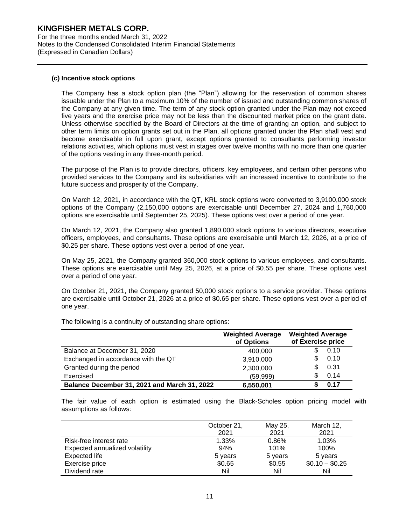For the three months ended March 31, 2022 Notes to the Condensed Consolidated Interim Financial Statements (Expressed in Canadian Dollars)

#### **(c) Incentive stock options**

The Company has a stock option plan (the "Plan") allowing for the reservation of common shares issuable under the Plan to a maximum 10% of the number of issued and outstanding common shares of the Company at any given time. The term of any stock option granted under the Plan may not exceed five years and the exercise price may not be less than the discounted market price on the grant date. Unless otherwise specified by the Board of Directors at the time of granting an option, and subject to other term limits on option grants set out in the Plan, all options granted under the Plan shall vest and become exercisable in full upon grant, except options granted to consultants performing investor relations activities, which options must vest in stages over twelve months with no more than one quarter of the options vesting in any three-month period.

The purpose of the Plan is to provide directors, officers, key employees, and certain other persons who provided services to the Company and its subsidiaries with an increased incentive to contribute to the future success and prosperity of the Company.

On March 12, 2021, in accordance with the QT, KRL stock options were converted to 3,9100,000 stock options of the Company (2,150,000 options are exercisable until December 27, 2024 and 1,760,000 options are exercisable until September 25, 2025). These options vest over a period of one year.

On March 12, 2021, the Company also granted 1,890,000 stock options to various directors, executive officers, employees, and consultants. These options are exercisable until March 12, 2026, at a price of \$0.25 per share. These options vest over a period of one year.

On May 25, 2021, the Company granted 360,000 stock options to various employees, and consultants. These options are exercisable until May 25, 2026, at a price of \$0.55 per share. These options vest over a period of one year.

On October 21, 2021, the Company granted 50,000 stock options to a service provider. These options are exercisable until October 21, 2026 at a price of \$0.65 per share. These options vest over a period of one year.

**Weighted Average of Options Weighted Average of Exercise price** Balance at December 31, 2020 **400.000** 400.000 **\$** 0.10 Exchanged in accordance with the QT 3,910,000 \$ 0.10 Granted during the period  $2,300,000$  \$ 0.31 Exercised (59,999) \$ 0.14 **Balance December 31, 2021 and March 31, 2022 6,550,001( \$ 0.17**

The following is a continuity of outstanding share options:

The fair value of each option is estimated using the Black-Scholes option pricing model with assumptions as follows:

|                                | October 21, | May 25, | March 12,       |
|--------------------------------|-------------|---------|-----------------|
|                                | 2021        | 2021    | 2021            |
| Risk-free interest rate        | 1.33%       | 0.86%   | 1.03%           |
| Expected annualized volatility | 94%         | 101%    | 100%            |
| Expected life                  | 5 years     | 5 years | 5 years         |
| Exercise price                 | \$0.65      | \$0.55  | $$0.10 - $0.25$ |
| Dividend rate                  | Nil         | Nil     | Nil             |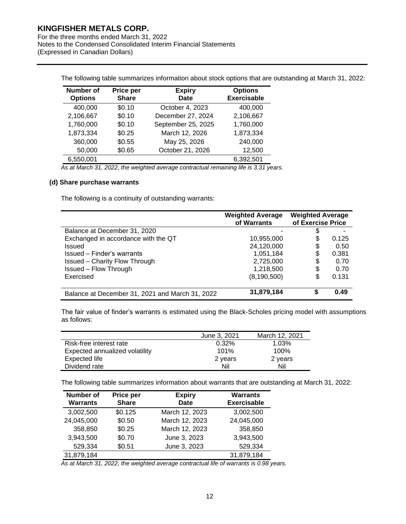For the three months ended March 31, 2022 Notes to the Condensed Consolidated Interim Financial Statements (Expressed in Canadian Dollars)

The following table summarizes information about stock options that are outstanding at March 31, 2022:

| <b>Number of</b><br><b>Options</b> | Price per<br><b>Share</b> | <b>Expiry</b><br>Date | <b>Options</b><br><b>Exercisable</b> |
|------------------------------------|---------------------------|-----------------------|--------------------------------------|
| 400,000                            | \$0.10                    | October 4, 2023       | 400,000                              |
| 2,106,667                          | \$0.10                    | December 27, 2024     | 2,106,667                            |
| 1,760,000                          | \$0.10                    | September 25, 2025    | 1,760,000                            |
| 1,873,334                          | \$0.25                    | March 12, 2026        | 1,873,334                            |
| 360,000                            | \$0.55                    | May 25, 2026          | 240,000                              |
| 50,000                             | \$0.65                    | October 21, 2026      | 12,500                               |
| 6,550,001                          |                           |                       | 6,392,501                            |

*As at March 31, 2022, the weighted average contractual remaining life is 3.31 years.*

#### **(d) Share purchase warrants**

The following is a continuity of outstanding warrants:

|                                                 | <b>Weighted Average</b><br>of Warrants | <b>Weighted Average</b><br>of Exercise Price |       |
|-------------------------------------------------|----------------------------------------|----------------------------------------------|-------|
| Balance at December 31, 2020                    |                                        | \$                                           |       |
| Exchanged in accordance with the QT             | 10,955,000                             | \$                                           | 0.125 |
| Issued                                          | 24,120,000                             | \$                                           | 0.50  |
| Issued – Finder's warrants                      | 1,051,184                              | \$                                           | 0.381 |
| <b>Issued - Charity Flow Through</b>            | 2,725,000                              | \$                                           | 0.70  |
| <b>Issued - Flow Through</b>                    | 1,218,500                              | \$                                           | 0.70  |
| Exercised                                       | (8, 190, 500)                          | \$                                           | 0.131 |
| Balance at December 31, 2021 and March 31, 2022 | 31,879,184                             | S                                            | 0.49  |

The fair value of finder's warrants is estimated using the Black-Scholes pricing model with assumptions as follows:

|                                | June 3, 2021 | March 12, 2021 |
|--------------------------------|--------------|----------------|
| Risk-free interest rate        | 0.32%        | 1.03%          |
| Expected annualized volatility | 101%         | 100%           |
| Expected life                  | 2 years      | 2 years        |
| Dividend rate                  | Nil          | Nil            |

The following table summarizes information about warrants that are outstanding at March 31, 2022:

| <b>Number of</b><br><b>Warrants</b> | Price per<br><b>Share</b> | <b>Expiry</b><br><b>Date</b> | <b>Warrants</b><br><b>Exercisable</b> |
|-------------------------------------|---------------------------|------------------------------|---------------------------------------|
| 3,002,500                           | \$0.125                   | March 12, 2023               | 3,002,500                             |
| 24,045,000                          | \$0.50                    | March 12, 2023               | 24,045,000                            |
| 358,850                             | \$0.25                    | March 12, 2023               | 358,850                               |
| 3,943,500                           | \$0.70                    | June 3, 2023                 | 3,943,500                             |
| 529,334                             | \$0.51                    | June 3, 2023                 | 529,334                               |
| 31,879,184                          |                           |                              | 31,879,184                            |

*As at March 31, 2022, the weighted average contractual life of warrants is 0.98 years.*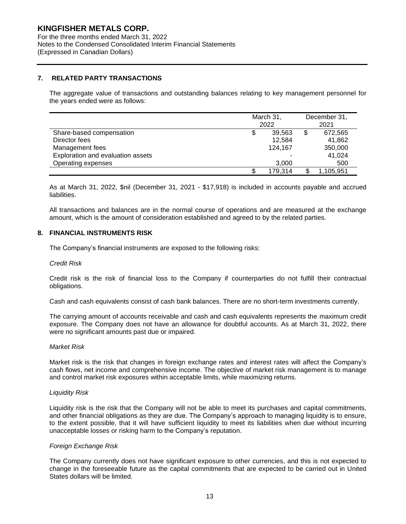For the three months ended March 31, 2022 Notes to the Condensed Consolidated Interim Financial Statements (Expressed in Canadian Dollars)

#### **7. RELATED PARTY TRANSACTIONS**

The aggregate value of transactions and outstanding balances relating to key management personnel for the years ended were as follows:

|                                   | March 31,<br>2022 | December 31,<br>2021 |           |
|-----------------------------------|-------------------|----------------------|-----------|
| Share-based compensation          | 39.563            | \$                   | 672,565   |
| Director fees                     | 12.584            |                      | 41,862    |
| Management fees                   | 124.167           |                      | 350,000   |
| Exploration and evaluation assets | -                 |                      | 41,024    |
| Operating expenses                | 3.000             |                      | 500       |
|                                   | 179,314           |                      | 1,105,951 |

As at March 31, 2022, \$nil (December 31, 2021 - \$17,918) is included in accounts payable and accrued liabilities.

All transactions and balances are in the normal course of operations and are measured at the exchange amount, which is the amount of consideration established and agreed to by the related parties.

#### **8. FINANCIAL INSTRUMENTS RISK**

The Company's financial instruments are exposed to the following risks:

#### *Credit Risk*

Credit risk is the risk of financial loss to the Company if counterparties do not fulfill their contractual obligations.

Cash and cash equivalents consist of cash bank balances. There are no short-term investments currently.

The carrying amount of accounts receivable and cash and cash equivalents represents the maximum credit exposure. The Company does not have an allowance for doubtful accounts. As at March 31, 2022, there were no significant amounts past due or impaired.

#### *Market Risk*

Market risk is the risk that changes in foreign exchange rates and interest rates will affect the Company's cash flows, net income and comprehensive income. The objective of market risk management is to manage and control market risk exposures within acceptable limits, while maximizing returns.

#### *Liquidity Risk*

Liquidity risk is the risk that the Company will not be able to meet its purchases and capital commitments, and other financial obligations as they are due. The Company's approach to managing liquidity is to ensure, to the extent possible, that it will have sufficient liquidity to meet its liabilities when due without incurring unacceptable losses or risking harm to the Company's reputation.

#### *Foreign Exchange Risk*

The Company currently does not have significant exposure to other currencies, and this is not expected to change in the foreseeable future as the capital commitments that are expected to be carried out in United States dollars will be limited.